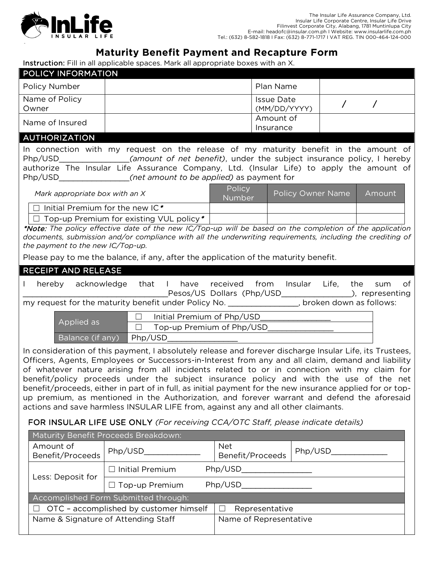

-

# **Maturity Benefit Payment and Recapture Form**

Instruction: Fill in all applicable spaces. Mark all appropriate boxes with an X.

| <b>POLICY INFORMATION</b> |                                   |  |  |
|---------------------------|-----------------------------------|--|--|
| <b>Policy Number</b>      | Plan Name                         |  |  |
| Name of Policy<br>Owner   | <b>Issue Date</b><br>(MM/DD/YYYY) |  |  |
| Name of Insured           | Amount of                         |  |  |
|                           | Insurance                         |  |  |
| <b>AUTHORIZATION</b>      |                                   |  |  |

In connection with my request on the release of my maturity benefit in the amount of Php/USD\_\_\_\_\_\_\_\_\_\_\_\_\_\_\_*(amount of net benefit)*, under the subject insurance policy, I hereby authorize The Insular Life Assurance Company, Ltd. (Insular Life) to apply the amount of Php/USD\_\_\_\_\_\_\_\_\_\_\_\_\_\_\_*(net amount to be applied)* as payment for

# *Mark appropriate box with an X* Policy<br>Number Policy Owner Name | Amount  $\Box$  Initial Premium for the new IC\*  $\Box$  Top-up Premium for existing VUL policy \*

\*Note: *The policy effective date of the new IC/Top-up will be based on the completion of the application documents, submission and/or compliance with all the underwriting requirements, including the crediting of the payment to the new IC/Top-up.*

Please pay to me the balance, if any, after the application of the maturity benefit.

#### RECEIPT AND RELEASE

|                                         | hereby | acknowledge                                          |     | that     | have | received                   | from | Insular | Life.                   |  | the sum of     |  |
|-----------------------------------------|--------|------------------------------------------------------|-----|----------|------|----------------------------|------|---------|-------------------------|--|----------------|--|
|                                         |        |                                                      |     |          |      | Pesos/US Dollars (Php/USD  |      |         |                         |  | , representing |  |
|                                         |        | my request for the maturity benefit under Policy No. |     |          |      |                            |      |         | broken down as follows: |  |                |  |
|                                         |        |                                                      |     |          |      | Initial Premium of Php/USD |      |         |                         |  |                |  |
| Applied as<br>Top-up Premium of Php/USD |        |                                                      |     |          |      |                            |      |         |                         |  |                |  |
|                                         |        | .                                                    | - - | $\cdots$ |      |                            |      |         |                         |  |                |  |

Balance (if any) Php/USD\_

In consideration of this payment, I absolutely release and forever discharge Insular Life, its Trustees, Officers, Agents, Employees or Successors-in-Interest from any and all claim, demand and liability of whatever nature arising from all incidents related to or in connection with my claim for benefit/policy proceeds under the subject insurance policy and with the use of the net benefit/proceeds, either in part of in full, as initial payment for the new insurance applied for or topup premium, as mentioned in the Authorization, and forever warrant and defend the aforesaid actions and save harmless INSULAR LIFE from, against any and all other claimants.

# FOR INSULAR LIFE USE ONLY *(For receiving CCA/OTC Staff, please indicate details)*

| Maturity Benefit Proceeds Breakdown:                                |                       |                                |         |  |  |  |  |  |
|---------------------------------------------------------------------|-----------------------|--------------------------------|---------|--|--|--|--|--|
| Amount of<br>Benefit/Proceeds                                       | Php/USD               | <b>Net</b><br>Benefit/Proceeds | Php/USD |  |  |  |  |  |
| Php/USD<br>$\Box$ Initial Premium                                   |                       |                                |         |  |  |  |  |  |
| Less: Deposit for                                                   | $\Box$ Top-up Premium | Php/USD                        |         |  |  |  |  |  |
| Accomplished Form Submitted through:                                |                       |                                |         |  |  |  |  |  |
| OTC - accomplished by customer himself<br>Representative<br>$\perp$ |                       |                                |         |  |  |  |  |  |
| Name & Signature of Attending Staff<br>Name of Representative       |                       |                                |         |  |  |  |  |  |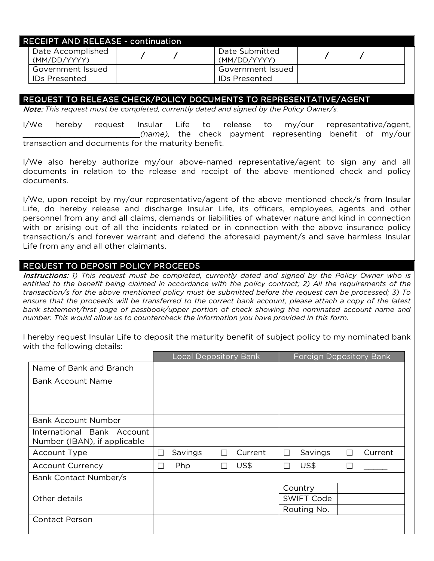| <b>RECEIPT AND RELEASE - continuation.</b> |  |                                |  |  |
|--------------------------------------------|--|--------------------------------|--|--|
| Date Accomplished<br>(MM/DD/YYYY)          |  | Date Submitted<br>(MM/DD/YYYY) |  |  |
| Government Issued                          |  | Government Issued              |  |  |
| IDs Presented                              |  | <b>IDs Presented</b>           |  |  |

#### REQUEST TO RELEASE CHECK/POLICY DOCUMENTS TO REPRESENTATIVE/AGENT

Note: *This request must be completed, currently dated and signed by the Policy Owner/s.*

I/We hereby request Insular Life to release to my/our representative/agent, \_\_\_\_\_\_\_\_\_\_\_\_\_\_\_\_\_\_\_\_\_\_\_\_\_*(name),* the check payment representing benefit of my/our transaction and documents for the maturity benefit.

I/We also hereby authorize my/our above-named representative/agent to sign any and all documents in relation to the release and receipt of the above mentioned check and policy documents.

I/We, upon receipt by my/our representative/agent of the above mentioned check/s from Insular Life, do hereby release and discharge Insular Life, its officers, employees, agents and other personnel from any and all claims, demands or liabilities of whatever nature and kind in connection with or arising out of all the incidents related or in connection with the above insurance policy transaction/s and forever warrant and defend the aforesaid payment/s and save harmless Insular Life from any and all other claimants.

#### REQUEST TO DEPOSIT POLICY PROCEEDS

Instructions: 1) This request must be completed, currently dated and signed by the Policy Owner who is entitled to the benefit being claimed in accordance with the policy contract; 2) All the requirements of the *transaction/s for the above mentioned policy must be submitted before the request can be processed; 3) To*  ensure that the proceeds will be transferred to the correct bank account, please attach a copy of the latest *bank statement/first page of passbook/upper portion of check showing the nominated account name and number. This would allow us to countercheck the information you have provided in this form.*

I hereby request Insular Life to deposit the maturity benefit of subject policy to my nominated bank with the following details:

|                                                            |        | <b>Local Depository Bank</b> |         |         |        | <b>Foreign Depository Bank</b> |         |
|------------------------------------------------------------|--------|------------------------------|---------|---------|--------|--------------------------------|---------|
| Name of Bank and Branch                                    |        |                              |         |         |        |                                |         |
| <b>Bank Account Name</b>                                   |        |                              |         |         |        |                                |         |
|                                                            |        |                              |         |         |        |                                |         |
|                                                            |        |                              |         |         |        |                                |         |
| <b>Bank Account Number</b>                                 |        |                              |         |         |        |                                |         |
| International Bank Account<br>Number (IBAN), if applicable |        |                              |         |         |        |                                |         |
| Account Type                                               | $\Box$ | Savings                      | $\perp$ | Current | $\Box$ | Savings                        | Current |
| <b>Account Currency</b>                                    | $\Box$ | Php                          |         | US\$    | П      | US\$                           |         |
| Bank Contact Number/s                                      |        |                              |         |         |        |                                |         |
|                                                            |        |                              |         |         |        | Country                        |         |
| Other details                                              |        |                              |         |         |        | <b>SWIFT Code</b>              |         |
|                                                            |        |                              |         |         |        | Routing No.                    |         |
| <b>Contact Person</b>                                      |        |                              |         |         |        |                                |         |
|                                                            |        |                              |         |         |        |                                |         |